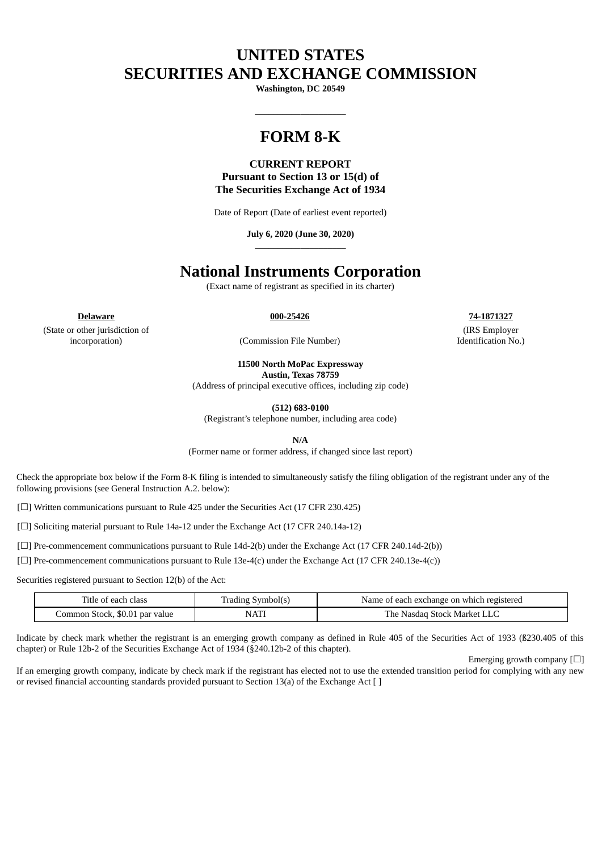# **UNITED STATES SECURITIES AND EXCHANGE COMMISSION**

**Washington, DC 20549**

 $\_$ 

## **FORM 8-K**

### **CURRENT REPORT Pursuant to Section 13 or 15(d) of The Securities Exchange Act of 1934**

Date of Report (Date of earliest event reported)

#### **July 6, 2020 (June 30, 2020)** \_\_\_\_\_\_\_\_\_\_\_\_\_\_\_\_\_\_\_\_

### **National Instruments Corporation**

(Exact name of registrant as specified in its charter)

**Delaware 000-25426 74-1871327**

(State or other jurisdiction of

incorporation) (Commission File Number)

**11500 North MoPac Expressway**

**Austin, Texas 78759**

(Address of principal executive offices, including zip code)

**(512) 683-0100**

(Registrant's telephone number, including area code)

**N/A**

(Former name or former address, if changed since last report)

Check the appropriate box below if the Form 8-K filing is intended to simultaneously satisfy the filing obligation of the registrant under any of the following provisions (see General Instruction A.2. below):

[☐] Written communications pursuant to Rule 425 under the Securities Act (17 CFR 230.425)

[□] Soliciting material pursuant to Rule 14a-12 under the Exchange Act (17 CFR 240.14a-12)

[ $\Box$ ] Pre-commencement communications pursuant to Rule 14d-2(b) under the Exchange Act (17 CFR 240.14d-2(b))

[ $\square$ ] Pre-commencement communications pursuant to Rule 13e-4(c) under the Exchange Act (17 CFR 240.13e-4(c))

Securities registered pursuant to Section 12(b) of the Act:

| comme in<br>Fitle of each<br>class | Symbol(s)<br>Trading | Name of each exchange on which registered |
|------------------------------------|----------------------|-------------------------------------------|
| Common Stock, \$0.01 par value     | <b>NAT!</b>          | The .<br>Stock Market I<br>Nasdad         |

Indicate by check mark whether the registrant is an emerging growth company as defined in Rule 405 of the Securities Act of 1933 (ß230.405 of this chapter) or Rule 12b-2 of the Securities Exchange Act of 1934 (§240.12b-2 of this chapter).

Emerging growth company  $[\Box]$ 

If an emerging growth company, indicate by check mark if the registrant has elected not to use the extended transition period for complying with any new or revised financial accounting standards provided pursuant to Section 13(a) of the Exchange Act [ ]

(IRS Employer Identification No.)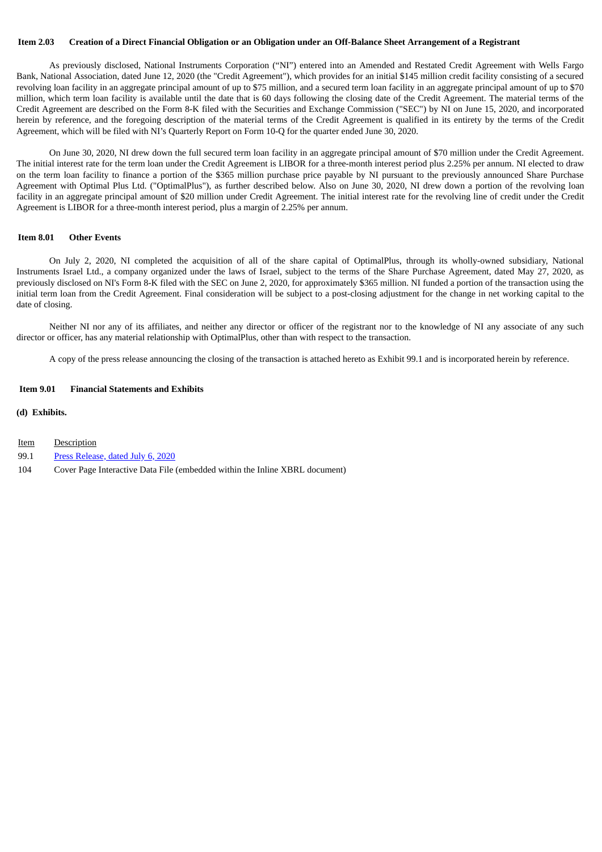#### Item 2.03 Creation of a Direct Financial Obligation or an Obligation under an Off-Balance Sheet Arrangement of a Registrant

As previously disclosed, National Instruments Corporation ("NI") entered into an Amended and Restated Credit Agreement with Wells Fargo Bank, National Association, dated June 12, 2020 (the "Credit Agreement"), which provides for an initial \$145 million credit facility consisting of a secured revolving loan facility in an aggregate principal amount of up to \$75 million, and a secured term loan facility in an aggregate principal amount of up to \$70 million, which term loan facility is available until the date that is 60 days following the closing date of the Credit Agreement. The material terms of the Credit Agreement are described on the Form 8-K filed with the Securities and Exchange Commission ("SEC") by NI on June 15, 2020, and incorporated herein by reference, and the foregoing description of the material terms of the Credit Agreement is qualified in its entirety by the terms of the Credit Agreement, which will be filed with NI's Quarterly Report on Form 10-Q for the quarter ended June 30, 2020.

On June 30, 2020, NI drew down the full secured term loan facility in an aggregate principal amount of \$70 million under the Credit Agreement. The initial interest rate for the term loan under the Credit Agreement is LIBOR for a three-month interest period plus 2.25% per annum. NI elected to draw on the term loan facility to finance a portion of the \$365 million purchase price payable by NI pursuant to the previously announced Share Purchase Agreement with Optimal Plus Ltd. ("OptimalPlus"), as further described below. Also on June 30, 2020, NI drew down a portion of the revolving loan facility in an aggregate principal amount of \$20 million under Credit Agreement. The initial interest rate for the revolving line of credit under the Credit Agreement is LIBOR for a three-month interest period, plus a margin of 2.25% per annum.

#### **Item 8.01 Other Events**

On July 2, 2020, NI completed the acquisition of all of the share capital of OptimalPlus, through its wholly-owned subsidiary, National Instruments Israel Ltd., a company organized under the laws of Israel, subject to the terms of the Share Purchase Agreement, dated May 27, 2020, as previously disclosed on NI's Form 8-K filed with the SEC on June 2, 2020, for approximately \$365 million. NI funded a portion of the transaction using the initial term loan from the Credit Agreement. Final consideration will be subject to a post-closing adjustment for the change in net working capital to the date of closing.

Neither NI nor any of its affiliates, and neither any director or officer of the registrant nor to the knowledge of NI any associate of any such director or officer, has any material relationship with OptimalPlus, other than with respect to the transaction.

A copy of the press release announcing the closing of the transaction is attached hereto as Exhibit 99.1 and is incorporated herein by reference.

#### **Item 9.01 Financial Statements and Exhibits**

#### **(d) Exhibits.**

- Item Description
- 99.1 Press [Release,](#page-3-0) dated July 6, 2020
- 104 Cover Page Interactive Data File (embedded within the Inline XBRL document)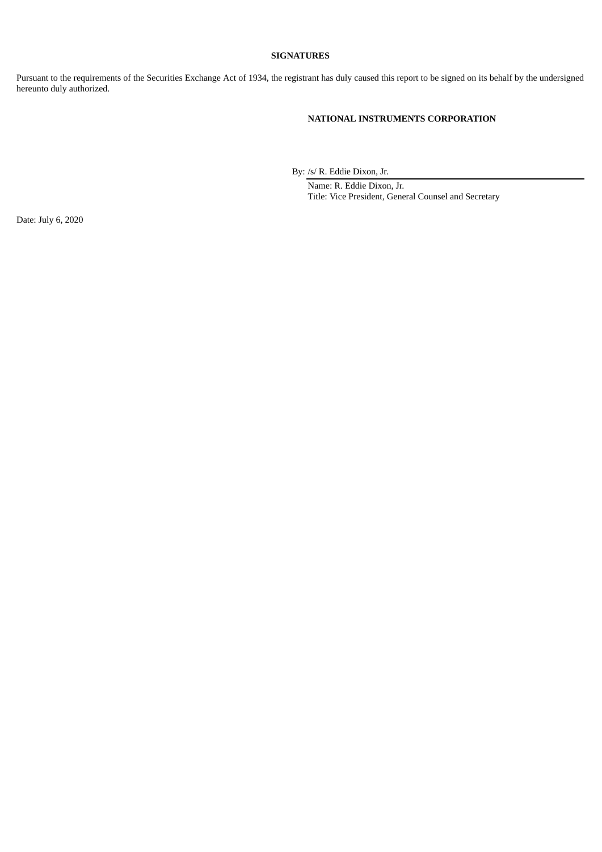#### **SIGNATURES**

Pursuant to the requirements of the Securities Exchange Act of 1934, the registrant has duly caused this report to be signed on its behalf by the undersigned hereunto duly authorized.

#### **NATIONAL INSTRUMENTS CORPORATION**

By: /s/ R. Eddie Dixon, Jr.

Name: R. Eddie Dixon, Jr. Title: Vice President, General Counsel and Secretary

Date: July 6, 2020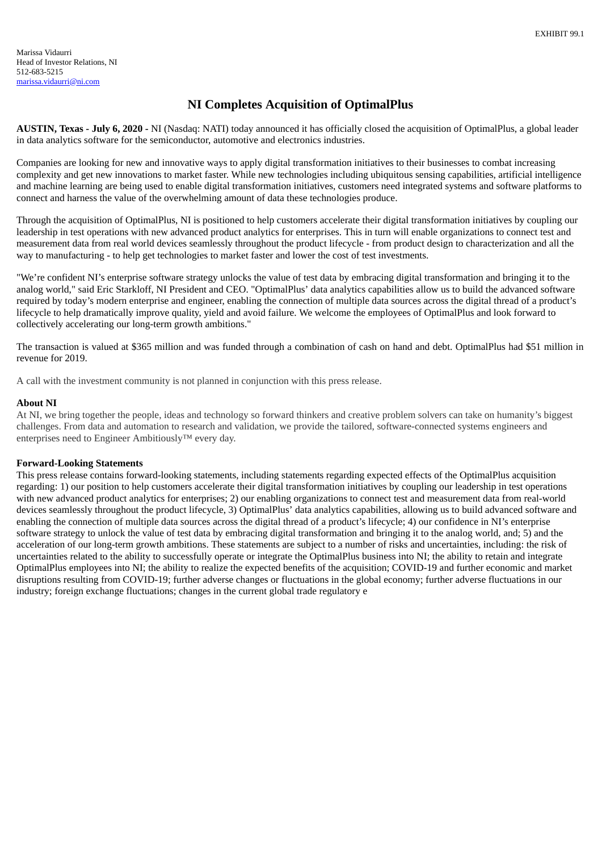### **NI Completes Acquisition of OptimalPlus**

<span id="page-3-0"></span>**AUSTIN, Texas - July 6, 2020 -** NI (Nasdaq: NATI) today announced it has officially closed the acquisition of OptimalPlus, a global leader in data analytics software for the semiconductor, automotive and electronics industries.

Companies are looking for new and innovative ways to apply digital transformation initiatives to their businesses to combat increasing complexity and get new innovations to market faster. While new technologies including ubiquitous sensing capabilities, artificial intelligence and machine learning are being used to enable digital transformation initiatives, customers need integrated systems and software platforms to connect and harness the value of the overwhelming amount of data these technologies produce.

Through the acquisition of OptimalPlus, NI is positioned to help customers accelerate their digital transformation initiatives by coupling our leadership in test operations with new advanced product analytics for enterprises. This in turn will enable organizations to connect test and measurement data from real world devices seamlessly throughout the product lifecycle - from product design to characterization and all the way to manufacturing - to help get technologies to market faster and lower the cost of test investments.

"We're confident NI's enterprise software strategy unlocks the value of test data by embracing digital transformation and bringing it to the analog world," said Eric Starkloff, NI President and CEO. "OptimalPlus' data analytics capabilities allow us to build the advanced software required by today's modern enterprise and engineer, enabling the connection of multiple data sources across the digital thread of a product's lifecycle to help dramatically improve quality, yield and avoid failure. We welcome the employees of OptimalPlus and look forward to collectively accelerating our long-term growth ambitions."

The transaction is valued at \$365 million and was funded through a combination of cash on hand and debt. OptimalPlus had \$51 million in revenue for 2019.

A call with the investment community is not planned in conjunction with this press release.

#### **About NI**

At NI, we bring together the people, ideas and technology so forward thinkers and creative problem solvers can take on humanity's biggest challenges. From data and automation to research and validation, we provide the tailored, software-connected systems engineers and enterprises need to Engineer Ambitiously™ every day.

#### **Forward-Looking Statements**

This press release contains forward-looking statements, including statements regarding expected effects of the OptimalPlus acquisition regarding: 1) our position to help customers accelerate their digital transformation initiatives by coupling our leadership in test operations with new advanced product analytics for enterprises; 2) our enabling organizations to connect test and measurement data from real-world devices seamlessly throughout the product lifecycle, 3) OptimalPlus' data analytics capabilities, allowing us to build advanced software and enabling the connection of multiple data sources across the digital thread of a product's lifecycle; 4) our confidence in NI's enterprise software strategy to unlock the value of test data by embracing digital transformation and bringing it to the analog world, and; 5) and the acceleration of our long-term growth ambitions. These statements are subject to a number of risks and uncertainties, including: the risk of uncertainties related to the ability to successfully operate or integrate the OptimalPlus business into NI; the ability to retain and integrate OptimalPlus employees into NI; the ability to realize the expected benefits of the acquisition; COVID-19 and further economic and market disruptions resulting from COVID-19; further adverse changes or fluctuations in the global economy; further adverse fluctuations in our industry; foreign exchange fluctuations; changes in the current global trade regulatory e